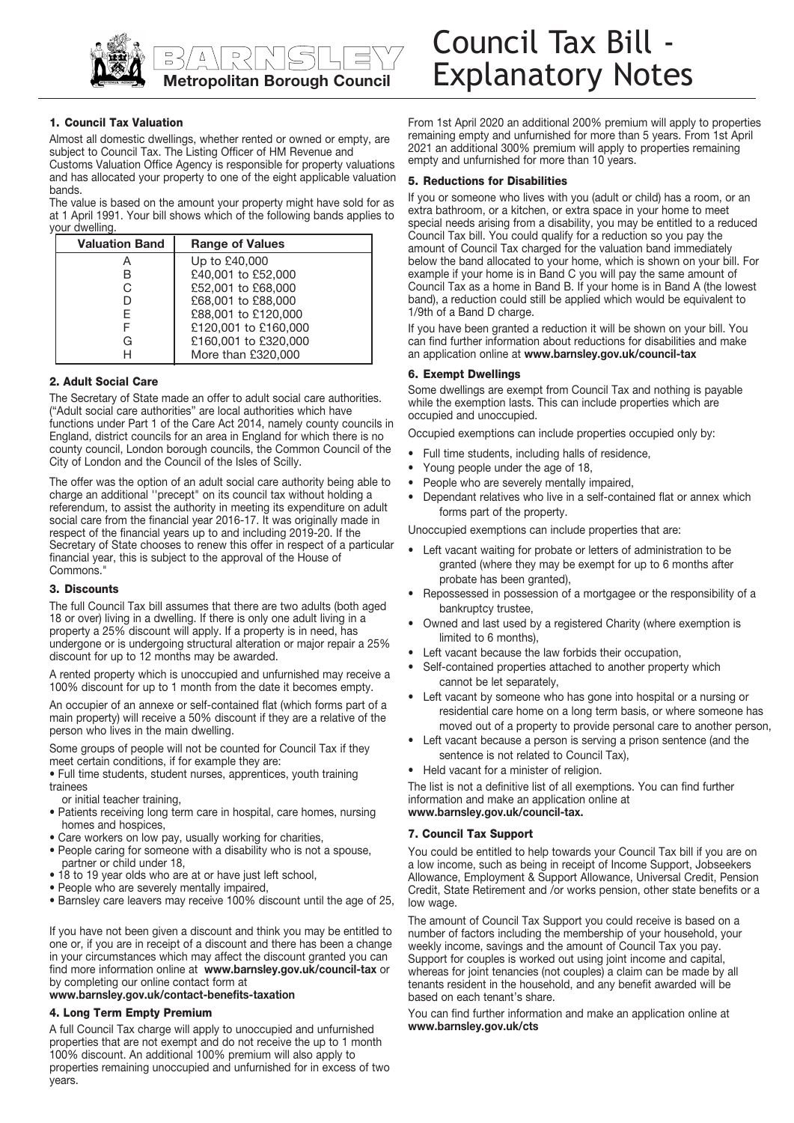

# **1. Council Tax Valuation**

Almost all domestic dwellings, whether rented or owned or empty, are subject to Council Tax. The Listing Officer of HM Revenue and

Customs Valuation Office Agency is responsible for property valuations and has allocated your property to one of the eight applicable valuation bands.

The value is based on the amount your property might have sold for as at 1 April 1991. Your bill shows which of the following bands applies to your dwelling.

| <b>Valuation Band</b> | <b>Range of Values</b> |
|-----------------------|------------------------|
| A                     | Up to £40,000          |
| B                     | £40,001 to £52,000     |
| C                     | £52,001 to £68,000     |
| D                     | £68,001 to £88,000     |
| F                     | £88,001 to £120,000    |
|                       | £120,001 to £160,000   |
| G                     | £160,001 to £320,000   |
| H                     | More than £320,000     |

# **2. Adult Social Care**

The Secretary of State made an offer to adult social care authorities. ("Adult social care authorities" are local authorities which have functions under Part 1 of the Care Act 2014, namely county councils in England, district councils for an area in England for which there is no county council, London borough councils, the Common Council of the City of London and the Council of the Isles of Scilly.

The offer was the option of an adult social care authority being able to charge an additional ''precept" on its council tax without holding a referendum, to assist the authority in meeting its expenditure on adult social care from the financial year 2016-17. It was originally made in respect of the financial years up to and including 2019-20. If the Secretary of State chooses to renew this offer in respect of a particular financial year, this is subject to the approval of the House of Commons.

## **3. Discounts**

The full Council Tax bill assumes that there are two adults (both aged 18 or over) living in a dwelling. If there is only one adult living in a property a 25% discount will apply. If a property is in need, has undergone or is undergoing structural alteration or major repair a 25% discount for up to 12 months may be awarded.

A rented property which is unoccupied and unfurnished may receive a 100% discount for up to 1 month from the date it becomes empty.

An occupier of an annexe or self-contained flat (which forms part of a main property) will receive a 50% discount if they are a relative of the person who lives in the main dwelling.

Some groups of people will not be counted for Council Tax if they meet certain conditions, if for example they are:

• Full time students, student nurses, apprentices, youth training trainees

or initial teacher training,

- Patients receiving long term care in hospital, care homes, nursing homes and hospices,
- Care workers on low pay, usually working for charities,
- People caring for someone with a disability who is not a spouse, partner or child under 18,
- 18 to 19 year olds who are at or have just left school,
- People who are severely mentally impaired,
- Barnsley care leavers may receive 100% discount until the age of 25,

If you have not been given a discount and think you may be entitled to one or, if you are in receipt of a discount and there has been a change in your circumstances which may affect the discount granted you can find more information online at **<www.barnsley.gov.uk/council-tax>** or by completing our online contact form at

#### **<www.barnsley.gov.uk/contact-benefits-taxation>**

## **4. Long Term Empty Premium**

A full Council Tax charge will apply to unoccupied and unfurnished properties that are not exempt and do not receive the up to 1 month 100% discount. An additional 100% premium will also apply to properties remaining unoccupied and unfurnished for in excess of two years.

From 1st April 2020 an additional 200% premium will apply to properties remaining empty and unfurnished for more than 5 years. From 1st April 2021 an additional 300% premium will apply to properties remaining empty and unfurnished for more than 10 years.

#### **5. Reductions for Disabilities**

If you or someone who lives with you (adult or child) has a room, or an extra bathroom, or a kitchen, or extra space in your home to meet special needs arising from a disability, you may be entitled to a reduced Council Tax bill. You could qualify for a reduction so you pay the amount of Council Tax charged for the valuation band immediately below the band allocated to your home, which is shown on your bill. For example if your home is in Band C you will pay the same amount of Council Tax as a home in Band B. If your home is in Band A (the lowest band), a reduction could still be applied which would be equivalent to 1/9th of a Band D charge.

 an application online at **<www.barnsley.gov.uk/council-tax>** If you have been granted a reduction it will be shown on your bill. You can find further information about reductions for disabilities and make

## **6. Exempt Dwellings**

Some dwellings are exempt from Council Tax and nothing is payable while the exemption lasts. This can include properties which are occupied and unoccupied.

Occupied exemptions can include properties occupied only by:

- Full time students, including halls of residence,
- Young people under the age of 18,
- People who are severely mentally impaired,
- Dependant relatives who live in a self-contained flat or annex which forms part of the property.

Unoccupied exemptions can include properties that are:

- • Left vacant waiting for probate or letters of administration to be granted (where they may be exempt for up to 6 months after probate has been granted),
- • Repossessed in possession of a mortgagee or the responsibility of a bankruptcy trustee,
- • Owned and last used by a registered Charity (where exemption is limited to 6 months),
- Left vacant because the law forbids their occupation,
- • Self-contained properties attached to another property which cannot be let separately,
- • Left vacant by someone who has gone into hospital or a nursing or residential care home on a long term basis, or where someone has moved out of a property to provide personal care to another person,
- • Left vacant because a person is serving a prison sentence (and the sentence is not related to Council Tax),
- Held vacant for a minister of religion.

 **<www.barnsley.gov.uk/council-tax>.** The list is not a definitive list of all exemptions. You can find further information and make an application online at

## **7. Council Tax Support**

You could be entitled to help towards your Council Tax bill if you are on a low income, such as being in receipt of Income Support, Jobseekers Allowance, Employment & Support Allowance, Universal Credit, Pension Credit, State Retirement and /or works pension, other state benefits or a low wage.

The amount of Council Tax Support you could receive is based on a number of factors including the membership of your household, your weekly income, savings and the amount of Council Tax you pay. Support for couples is worked out using joint income and capital, whereas for joint tenancies (not couples) a claim can be made by all tenants resident in the household, and any benefit awarded will be based on each tenant's share.

You can find further information and make an application online at **<www.barnsley.gov.uk/cts>**